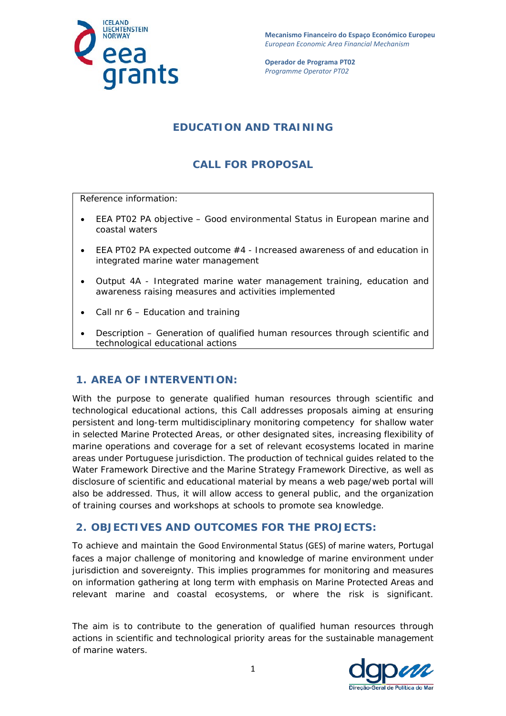

**Mecanismo Financeiro do Espaço Económico Europeu**  *European Economic Area Financial Mechanism* 

**Operador de Programa PT02**  *Programme Operator PT02*

## **EDUCATION AND TRAINING**

# **CALL FOR PROPOSAL**

Reference information:

- EEA PT02 PA objective Good environmental Status in European marine and coastal waters
- EEA PT02 PA expected outcome #4 Increased awareness of and education in integrated marine water management
- Output 4A Integrated marine water management training, education and awareness raising measures and activities implemented
- Call nr 6 Education and training
- Description Generation of qualified human resources through scientific and technological educational actions

#### **1. AREA OF INTERVENTION:**

With the purpose to generate qualified human resources through scientific and technological educational actions, this Call addresses proposals aiming at ensuring persistent and long-term multidisciplinary monitoring competency for shallow water in selected Marine Protected Areas, or other designated sites, increasing flexibility of marine operations and coverage for a set of relevant ecosystems located in marine areas under Portuguese jurisdiction. The production of technical guides related to the Water Framework Directive and the Marine Strategy Framework Directive, as well as disclosure of scientific and educational material by means a web page/web portal will also be addressed. Thus, it will allow access to general public, and the organization of training courses and workshops at schools to promote sea knowledge.

#### **2. OBJECTIVES AND OUTCOMES FOR THE PROJECTS:**

To achieve and maintain the Good Environmental Status (GES) of marine waters, Portugal faces a major challenge of monitoring and knowledge of marine environment under jurisdiction and sovereignty. This implies programmes for monitoring and measures on information gathering at long term with emphasis on Marine Protected Areas and relevant marine and coastal ecosystems, or where the risk is significant.

The aim is to contribute to the generation of qualified human resources through actions in scientific and technological priority areas for the sustainable management of marine waters.

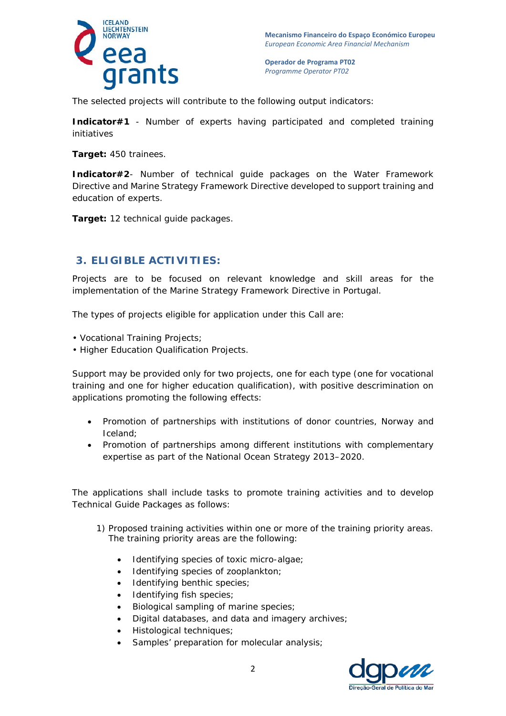

The selected projects will contribute to the following output indicators:

**Indicator#1** - Number of experts having participated and completed training initiatives

**Target:** 450 trainees.

**Indicator#2**- Number of technical guide packages on the Water Framework Directive and Marine Strategy Framework Directive developed to support training and education of experts.

**Target:** 12 technical guide packages.

#### **3. ELIGIBLE ACTIVITIES:**

Projects are to be focused on relevant knowledge and skill areas for the implementation of the Marine Strategy Framework Directive in Portugal.

The types of projects eligible for application under this Call are:

- Vocational Training Projects;
- Higher Education Qualification Projects.

Support may be provided only for two projects, one for each type (one for vocational training and one for higher education qualification), with positive descrimination on applications promoting the following effects:

- Promotion of partnerships with institutions of donor countries, Norway and Iceland;
- Promotion of partnerships among different institutions with complementary expertise as part of the National Ocean Strategy 2013–2020.

The applications shall include tasks to promote training activities and to develop Technical Guide Packages as follows:

- 1) Proposed training activities within one or more of the training priority areas. The training priority areas are the following:
	- Identifying species of toxic micro-algae;
	- Identifying species of zooplankton;
	- Identifying benthic species;
	- Identifying fish species;
	- Biological sampling of marine species;
	- Digital databases, and data and imagery archives;
	- Histological techniques;
	- Samples' preparation for molecular analysis;

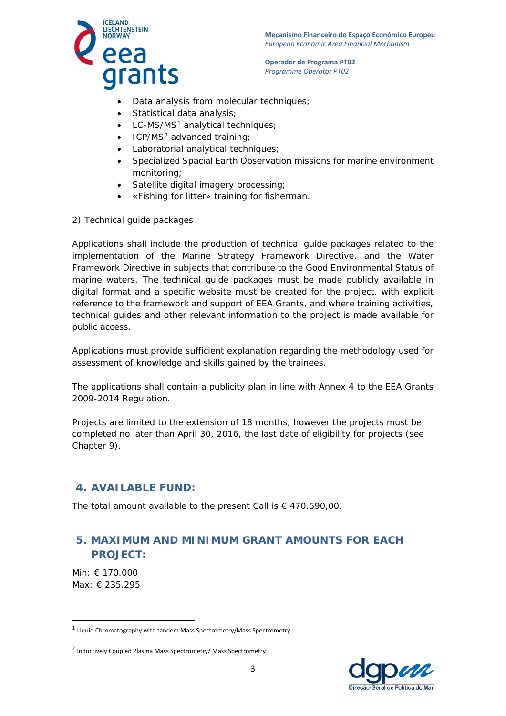



- Data analysis from molecular techniques;
- Statistical data analysis;
- $\bullet$  LC-MS/MS<sup>[1](#page-2-0)</sup> analytical techniques;
- ICP/MS<sup>[2](#page-2-1)</sup> advanced training;
- Laboratorial analytical techniques;
- Specialized Spacial Earth Observation missions for marine environment monitoring;
- Satellite digital imagery processing;
- «Fishing for litter» training for fisherman.
- 2) Technical guide packages

Applications shall include the production of technical guide packages related to the implementation of the Marine Strategy Framework Directive, and the Water Framework Directive in subjects that contribute to the Good Environmental Status of marine waters. The technical guide packages must be made publicly available in digital format and a specific website must be created for the project, with explicit reference to the framework and support of EEA Grants, and where training activities, technical guides and other relevant information to the project is made available for public access.

Applications must provide sufficient explanation regarding the methodology used for assessment of knowledge and skills gained by the trainees.

The applications shall contain a publicity plan in line with Annex 4 to the EEA Grants 2009-2014 Regulation.

Projects are limited to the extension of 18 months, however the projects must be completed no later than April 30, 2016, the last date of eligibility for projects (see Chapter 9).

## **4. AVAILABLE FUND:**

The total amount available to the present Call is  $\epsilon$  470.590,00.

# **5. MAXIMUM AND MINIMUM GRANT AMOUNTS FOR EACH PROJECT:**

Min: € 170.000 Max: € 235.295

 $\overline{a}$ 



<span id="page-2-0"></span><sup>1</sup> Liquid Chromatography with tandem Mass Spectrometry/Mass Spectrometry

<span id="page-2-1"></span><sup>2</sup> Inductively Coupled Plasma Mass Spectrometry/ Mass Spectrometry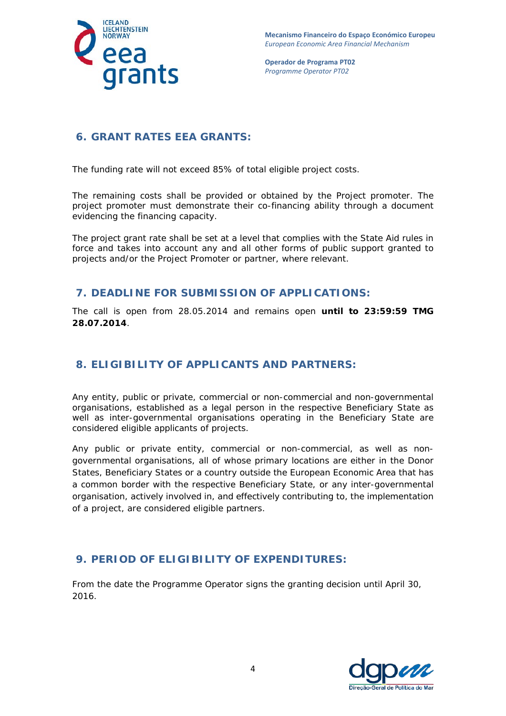

## **6. GRANT RATES EEA GRANTS:**

The funding rate will not exceed 85% of total eligible project costs.

The remaining costs shall be provided or obtained by the Project promoter. The project promoter must demonstrate their co-financing ability through a document evidencing the financing capacity.

The project grant rate shall be set at a level that complies with the State Aid rules in force and takes into account any and all other forms of public support granted to projects and/or the Project Promoter or partner, where relevant.

#### **7. DEADLINE FOR SUBMISSION OF APPLICATIONS:**

The call is open from 28.05.2014 and remains open **until to 23:59:59 TMG 28.07.2014**.

## **8. ELIGIBILITY OF APPLICANTS AND PARTNERS:**

Any entity, public or private, commercial or non-commercial and non-governmental organisations, established as a legal person in the respective Beneficiary State as well as inter-governmental organisations operating in the Beneficiary State are considered eligible applicants of projects.

Any public or private entity, commercial or non-commercial, as well as nongovernmental organisations, all of whose primary locations are either in the Donor States, Beneficiary States or a country outside the European Economic Area that has a common border with the respective Beneficiary State, or any inter-governmental organisation, actively involved in, and effectively contributing to, the implementation of a project, are considered eligible partners.

## **9. PERIOD OF ELIGIBILITY OF EXPENDITURES:**

From the date the Programme Operator signs the granting decision until April 30, 2016.

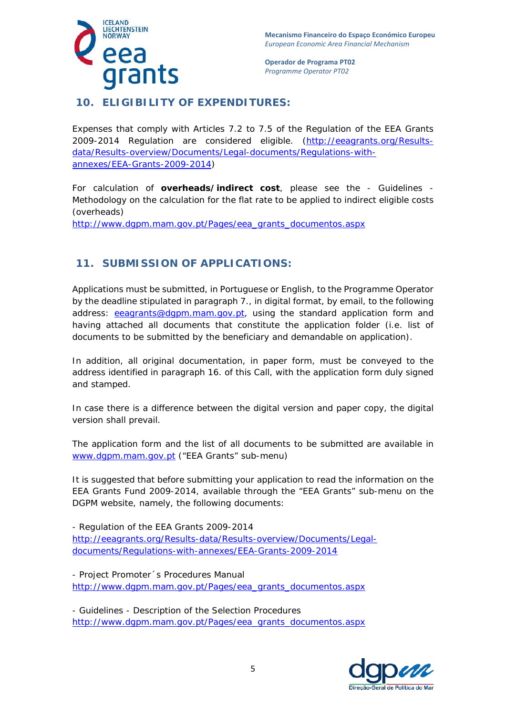

## **10. ELIGIBILITY OF EXPENDITURES:**

Expenses that comply with Articles 7.2 to 7.5 of the Regulation of the EEA Grants 2009-2014 Regulation are considered eligible. [\(http://eeagrants.org/Results](http://eeagrants.org/Results-data/Results-overview/Documents/Legal-documents/Regulations-with-annexes/EEA-Grants-2009-2014)[data/Results-overview/Documents/Legal-documents/Regulations-with](http://eeagrants.org/Results-data/Results-overview/Documents/Legal-documents/Regulations-with-annexes/EEA-Grants-2009-2014)[annexes/EEA-Grants-2009-2014\)](http://eeagrants.org/Results-data/Results-overview/Documents/Legal-documents/Regulations-with-annexes/EEA-Grants-2009-2014)

For calculation of **overheads/indirect cost**, please see the - Guidelines - Methodology on the calculation for the flat rate to be applied to indirect eligible costs (overheads)

[http://www.dgpm.mam.gov.pt/Pages/eea\\_grants\\_documentos.aspx](http://www.dgpm.mam.gov.pt/Pages/eea_grants_documentos.aspx)

## **11. SUBMISSION OF APPLICATIONS:**

Applications must be submitted, in Portuguese or English, to the Programme Operator by the deadline stipulated in paragraph 7., in digital format, by email, to the following address: [eeagrants@dgpm.mam.gov.pt,](mailto:eeagrants@dgpm.mam.gov.pt) using the standard application form and having attached all documents that constitute the application folder (i.e. list of documents to be submitted by the beneficiary and demandable on application).

In addition, all original documentation, in paper form, must be conveyed to the address identified in paragraph 16. of this Call, with the application form duly signed and stamped.

In case there is a difference between the digital version and paper copy, the digital version shall prevail.

The application form and the list of all documents to be submitted are available in [www.dgpm.mam.gov.pt](http://www.dgpm.mam.gov.pt/) ("EEA Grants" sub-menu)

It is suggested that before submitting your application to read the information on the EEA Grants Fund 2009-2014, available through the "EEA Grants" sub-menu on the DGPM website, namely, the following documents:

- Regulation of the EEA Grants 2009-2014 [http://eeagrants.org/Results-data/Results-overview/Documents/Legal](http://eeagrants.org/Results-data/Results-overview/Documents/Legal-documents/Regulations-with-annexes/EEA-Grants-2009-2014)[documents/Regulations-with-annexes/EEA-Grants-2009-2014](http://eeagrants.org/Results-data/Results-overview/Documents/Legal-documents/Regulations-with-annexes/EEA-Grants-2009-2014)

- Project Promoter´s Procedures Manual [http://www.dgpm.mam.gov.pt/Pages/eea\\_grants\\_documentos.aspx](http://www.dgpm.mam.gov.pt/Pages/eea_grants_documentos.aspx)

- Guidelines - Description of the Selection Procedures [http://www.dgpm.mam.gov.pt/Pages/eea\\_grants\\_documentos.aspx](http://www.dgpm.mam.gov.pt/Pages/eea_grants_documentos.aspx)

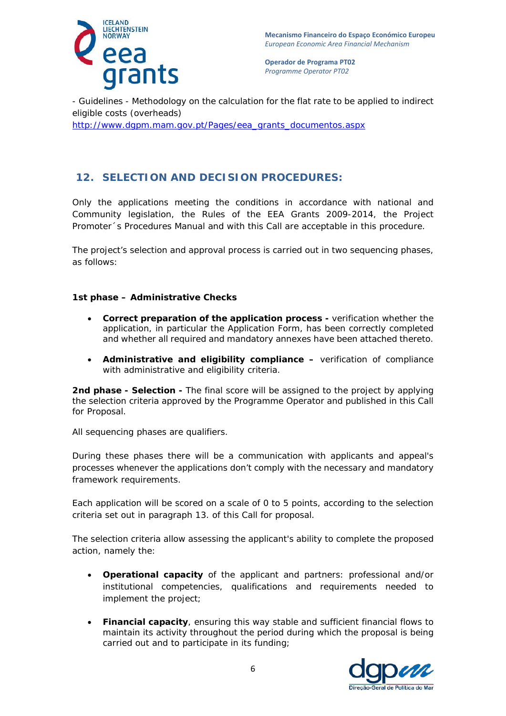

- Guidelines - Methodology on the calculation for the flat rate to be applied to indirect eligible costs (overheads)

[http://www.dgpm.mam.gov.pt/Pages/eea\\_grants\\_documentos.aspx](http://www.dgpm.mam.gov.pt/Pages/eea_grants_documentos.aspx)

## **12. SELECTION AND DECISION PROCEDURES:**

Only the applications meeting the conditions in accordance with national and Community legislation, the Rules of the EEA Grants 2009-2014, the Project Promoter´s Procedures Manual and with this Call are acceptable in this procedure.

The project's selection and approval process is carried out in two sequencing phases, as follows:

#### **1st phase – Administrative Checks**

- **Correct preparation of the application process -** verification whether the application, in particular the Application Form, has been correctly completed and whether all required and mandatory annexes have been attached thereto.
- **Administrative and eligibility compliance –** verification of compliance with administrative and eligibility criteria.

**2nd phase - Selection -** The final score will be assigned to the project by applying the selection criteria approved by the Programme Operator and published in this Call for Proposal.

All sequencing phases are qualifiers.

During these phases there will be a communication with applicants and appeal's processes whenever the applications don't comply with the necessary and mandatory framework requirements.

Each application will be scored on a scale of 0 to 5 points, according to the selection criteria set out in paragraph 13. of this Call for proposal.

The selection criteria allow assessing the applicant's ability to complete the proposed action, namely the:

- **Operational capacity** of the applicant and partners: professional and/or institutional competencies, qualifications and requirements needed to implement the project;
- **Financial capacity**, ensuring this way stable and sufficient financial flows to maintain its activity throughout the period during which the proposal is being carried out and to participate in its funding;

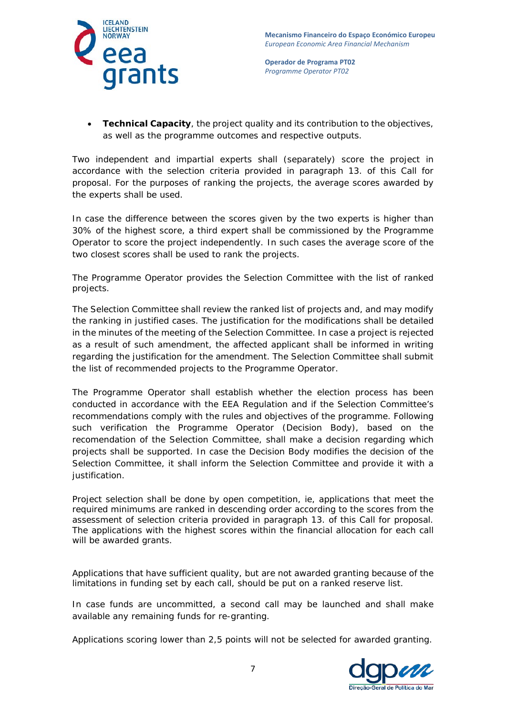



• **Technical Capacity**, the project quality and its contribution to the objectives, as well as the programme outcomes and respective outputs.

Two independent and impartial experts shall (separately) score the project in accordance with the selection criteria provided in paragraph 13. of this Call for proposal. For the purposes of ranking the projects, the average scores awarded by the experts shall be used.

In case the difference between the scores given by the two experts is higher than 30% of the highest score, a third expert shall be commissioned by the Programme Operator to score the project independently. In such cases the average score of the two closest scores shall be used to rank the projects.

The Programme Operator provides the Selection Committee with the list of ranked projects.

The Selection Committee shall review the ranked list of projects and, and may modify the ranking in justified cases. The justification for the modifications shall be detailed in the minutes of the meeting of the Selection Committee. In case a project is rejected as a result of such amendment, the affected applicant shall be informed in writing regarding the justification for the amendment. The Selection Committee shall submit the list of recommended projects to the Programme Operator.

The Programme Operator shall establish whether the election process has been conducted in accordance with the EEA Regulation and if the Selection Committee's recommendations comply with the rules and objectives of the programme. Following such verification the Programme Operator (Decision Body), based on the recomendation of the Selection Committee, shall make a decision regarding which projects shall be supported. In case the Decision Body modifies the decision of the Selection Committee, it shall inform the Selection Committee and provide it with a justification.

Project selection shall be done by open competition, ie, applications that meet the required minimums are ranked in descending order according to the scores from the assessment of selection criteria provided in paragraph 13. of this Call for proposal. The applications with the highest scores within the financial allocation for each call will be awarded grants.

Applications that have sufficient quality, but are not awarded granting because of the limitations in funding set by each call, should be put on a ranked reserve list.

In case funds are uncommitted, a second call may be launched and shall make available any remaining funds for re-granting.

Applications scoring lower than 2,5 points will not be selected for awarded granting.

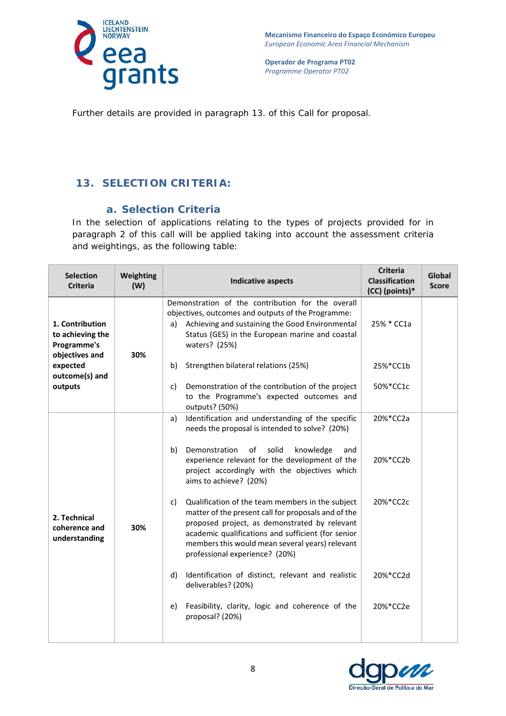

Further details are provided in paragraph 13. of this Call for proposal.

# **13. SELECTION CRITERIA:**

#### *a. Selection Criteria*

In the selection of applications relating to the types of projects provided for in paragraph 2 of this call will be applied taking into account the assessment criteria and weightings, as the following table:

| <b>Selection</b><br><b>Criteria</b>                                  | Weighting<br>(W) | <b>Indicative aspects</b>                                                                                                                                                                                                                                                                                 | <b>Criteria</b><br><b>Classification</b><br>(CC) (points)* | Global<br><b>Score</b> |
|----------------------------------------------------------------------|------------------|-----------------------------------------------------------------------------------------------------------------------------------------------------------------------------------------------------------------------------------------------------------------------------------------------------------|------------------------------------------------------------|------------------------|
| 1. Contribution<br>to achieving the<br>Programme's<br>objectives and | 30%              | Demonstration of the contribution for the overall<br>objectives, outcomes and outputs of the Programme:<br>Achieving and sustaining the Good Environmental<br>a)<br>Status (GES) in the European marine and coastal<br>waters? (25%)                                                                      | 25% * CC1a                                                 |                        |
| expected                                                             |                  | Strengthen bilateral relations (25%)<br>b)                                                                                                                                                                                                                                                                | 25%*CC1b                                                   |                        |
| outcome(s) and<br>outputs                                            |                  | Demonstration of the contribution of the project<br>c)<br>to the Programme's expected outcomes and<br>outputs? (50%)                                                                                                                                                                                      | 50%*CC1c                                                   |                        |
| 2. Technical<br>coherence and<br>understanding                       | 30%              | Identification and understanding of the specific<br>a)<br>needs the proposal is intended to solve? (20%)                                                                                                                                                                                                  | 20%*CC2a                                                   |                        |
|                                                                      |                  | solid<br>Demonstration<br>of<br>knowledge<br>b)<br>and<br>experience relevant for the development of the<br>project accordingly with the objectives which<br>aims to achieve? (20%)                                                                                                                       | 20%*CC2b                                                   |                        |
|                                                                      |                  | Qualification of the team members in the subject<br>c)<br>matter of the present call for proposals and of the<br>proposed project, as demonstrated by relevant<br>academic qualifications and sufficient (for senior<br>members this would mean several years) relevant<br>professional experience? (20%) | 20%*CC2c                                                   |                        |
|                                                                      |                  | Identification of distinct, relevant and realistic<br>d)<br>deliverables? (20%)                                                                                                                                                                                                                           | 20%*CC2d                                                   |                        |
|                                                                      |                  | Feasibility, clarity, logic and coherence of the<br>e)<br>proposal? (20%)                                                                                                                                                                                                                                 | 20%*CC2e                                                   |                        |
|                                                                      |                  |                                                                                                                                                                                                                                                                                                           |                                                            |                        |

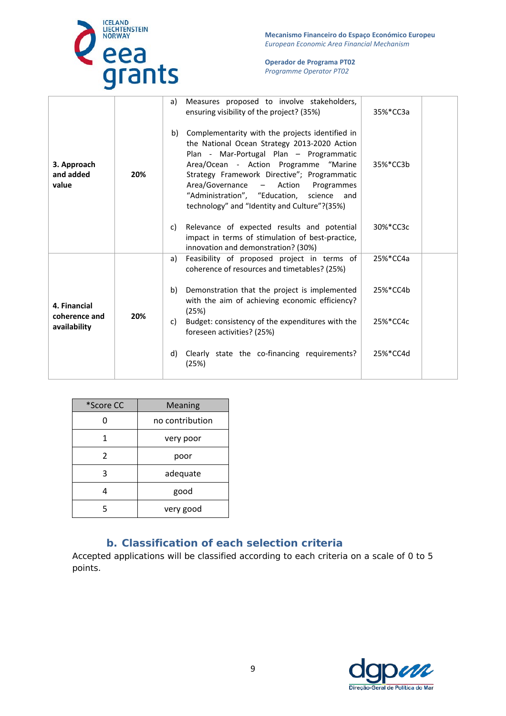

**Mecanismo Financeiro do Espaço Económico Europeu**  *European Economic Area Financial Mechanism* 

#### **Operador de Programa PT02**  *Programme Operator PT02*

| 3. Approach<br>and added<br>value             | 20% | a) | Measures proposed to involve stakeholders,<br>ensuring visibility of the project? (35%)                                                                                                                                                                                                                                                                                      | 35%*CC3a |
|-----------------------------------------------|-----|----|------------------------------------------------------------------------------------------------------------------------------------------------------------------------------------------------------------------------------------------------------------------------------------------------------------------------------------------------------------------------------|----------|
|                                               |     | b) | Complementarity with the projects identified in<br>the National Ocean Strategy 2013-2020 Action<br>Plan - Mar-Portugal Plan - Programmatic<br>Area/Ocean - Action Programme "Marine<br>Strategy Framework Directive"; Programmatic<br>Area/Governance<br>- Action Programmes<br>"Administration", "Education, science<br>and<br>technology" and "Identity and Culture"?(35%) | 35%*CC3b |
|                                               |     | C) | Relevance of expected results and potential<br>impact in terms of stimulation of best-practice,<br>innovation and demonstration? (30%)                                                                                                                                                                                                                                       | 30%*CC3c |
|                                               |     | a) | Feasibility of proposed project in terms of<br>coherence of resources and timetables? (25%)                                                                                                                                                                                                                                                                                  | 25%*CC4a |
| 4. Financial<br>coherence and<br>availability | 20% | b) | Demonstration that the project is implemented<br>with the aim of achieving economic efficiency?<br>(25%)                                                                                                                                                                                                                                                                     | 25%*CC4b |
|                                               |     | C) | Budget: consistency of the expenditures with the<br>foreseen activities? (25%)                                                                                                                                                                                                                                                                                               | 25%*CC4c |
|                                               |     | d) | Clearly state the co-financing requirements?<br>(25%)                                                                                                                                                                                                                                                                                                                        | 25%*CC4d |

| *Score CC    | Meaning         |  |
|--------------|-----------------|--|
| <sup>0</sup> | no contribution |  |
| 1            | very poor       |  |
| 2            | poor            |  |
| 3            | adequate        |  |
|              | good            |  |
| 5            | very good       |  |

## *b. Classification of each selection criteria*

Accepted applications will be classified according to each criteria on a scale of 0 to 5 points.

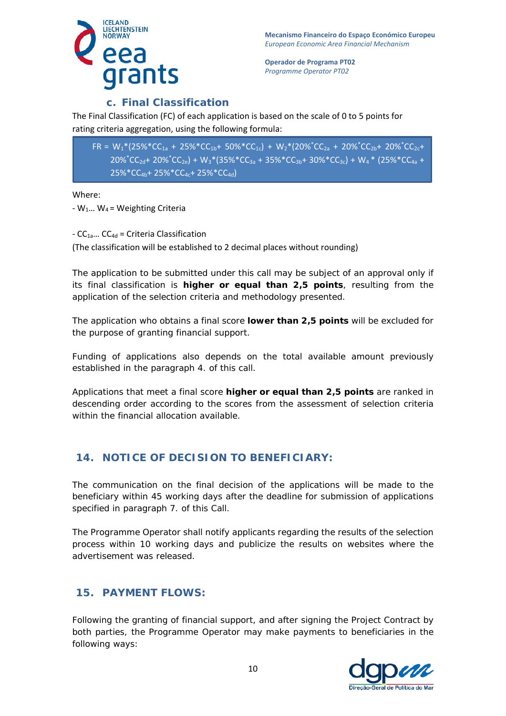

#### *c. Final Classification*

The Final Classification (FC) of each application is based on the scale of 0 to 5 points for rating criteria aggregation, using the following formula:

 $FR = W_1^*(25\%^*CC_{1a} + 25\%^*CC_{1b} + 50\%^*CC_{1c}) + W_2^*(20\%^*CC_{2a} + 20\%^*CC_{2b} + 20\%^*CC_{2c} +$  $20\%$ <sup>\*</sup>CC<sub>2d</sub>+ 20%<sup>\*</sup>CC<sub>2e</sub>) + W<sub>3</sub>\*(35%\*CC<sub>3a</sub> + 35%\*CC<sub>3b</sub>+ 30%\*CC<sub>3c</sub>) + W<sub>4</sub> \* (25%\*CC<sub>4a</sub> + 25%\*CC<sub>4b</sub>+ 25%\*CC<sub>4c</sub>+ 25%\*CC<sub>4d</sub>)

Where:

-  $W_1...$  W<sub>4</sub> = Weighting Criteria

 $-CC_{1a}...$  CC<sub>4d</sub> = Criteria Classification (The classification will be established to 2 decimal places without rounding)

The application to be submitted under this call may be subject of an approval only if its final classification is **higher or equal than 2,5 points**, resulting from the application of the selection criteria and methodology presented.

The application who obtains a final score **lower than 2,5 points** will be excluded for the purpose of granting financial support.

Funding of applications also depends on the total available amount previously established in the paragraph 4. of this call.

Applications that meet a final score **higher or equal than 2,5 points** are ranked in descending order according to the scores from the assessment of selection criteria within the financial allocation available.

# **14. NOTICE OF DECISION TO BENEFICIARY:**

The communication on the final decision of the applications will be made to the beneficiary within 45 working days after the deadline for submission of applications specified in paragraph 7. of this Call.

The Programme Operator shall notify applicants regarding the results of the selection process within 10 working days and publicize the results on websites where the advertisement was released.

## **15. PAYMENT FLOWS:**

Following the granting of financial support, and after signing the Project Contract by both parties, the Programme Operator may make payments to beneficiaries in the following ways: